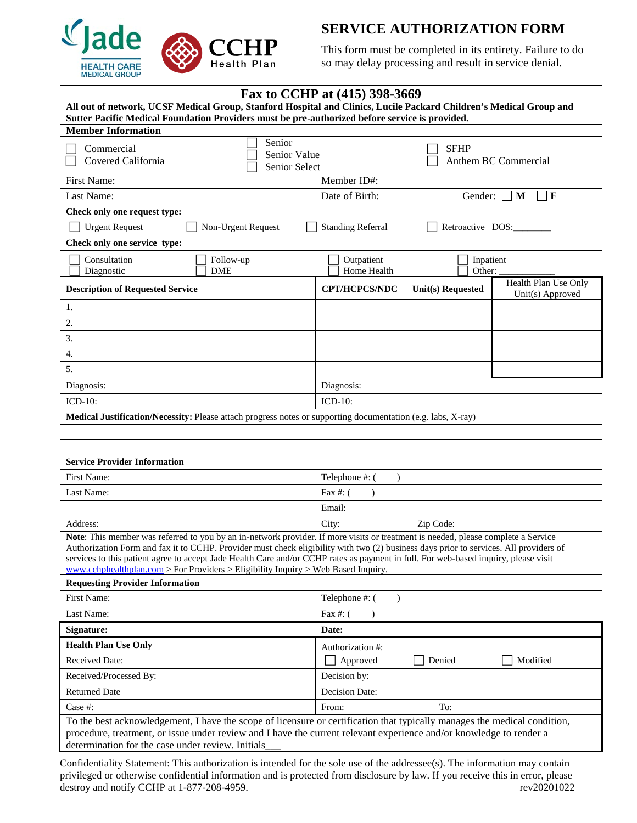

## **SERVICE AUTHORIZATION FORM**

This form must be completed in its entirety. Failure to do so may delay processing and result in service denial.

| Fax to CCHP at (415) 398-3669                                                                                                                                                                                                                                                                                                                                                                                                                                                                          |                                                  |                          |                                          |  |
|--------------------------------------------------------------------------------------------------------------------------------------------------------------------------------------------------------------------------------------------------------------------------------------------------------------------------------------------------------------------------------------------------------------------------------------------------------------------------------------------------------|--------------------------------------------------|--------------------------|------------------------------------------|--|
| All out of network, UCSF Medical Group, Stanford Hospital and Clinics, Lucile Packard Children's Medical Group and<br>Sutter Pacific Medical Foundation Providers must be pre-authorized before service is provided.                                                                                                                                                                                                                                                                                   |                                                  |                          |                                          |  |
| <b>Member Information</b>                                                                                                                                                                                                                                                                                                                                                                                                                                                                              |                                                  |                          |                                          |  |
| Senior<br>Commercial<br>Covered California                                                                                                                                                                                                                                                                                                                                                                                                                                                             | Senior Value<br>Senior Select                    |                          | <b>SFHP</b><br>Anthem BC Commercial      |  |
| First Name:<br>Member ID#:                                                                                                                                                                                                                                                                                                                                                                                                                                                                             |                                                  |                          |                                          |  |
| Last Name:<br>Date of Birth:<br>$\mathbf F$<br>Gender:<br>M                                                                                                                                                                                                                                                                                                                                                                                                                                            |                                                  |                          |                                          |  |
| Check only one request type:                                                                                                                                                                                                                                                                                                                                                                                                                                                                           |                                                  |                          |                                          |  |
| <b>Urgent Request</b><br>Non-Urgent Request                                                                                                                                                                                                                                                                                                                                                                                                                                                            | <b>Standing Referral</b><br>Retroactive DOS:     |                          |                                          |  |
| Check only one service type:                                                                                                                                                                                                                                                                                                                                                                                                                                                                           |                                                  |                          |                                          |  |
| Consultation<br>Follow-up<br>Diagnostic<br><b>DME</b>                                                                                                                                                                                                                                                                                                                                                                                                                                                  | Outpatient<br>Inpatient<br>Other:<br>Home Health |                          |                                          |  |
| <b>Description of Requested Service</b>                                                                                                                                                                                                                                                                                                                                                                                                                                                                | <b>CPT/HCPCS/NDC</b>                             | <b>Unit(s)</b> Requested | Health Plan Use Only<br>Unit(s) Approved |  |
| 1.                                                                                                                                                                                                                                                                                                                                                                                                                                                                                                     |                                                  |                          |                                          |  |
| 2.                                                                                                                                                                                                                                                                                                                                                                                                                                                                                                     |                                                  |                          |                                          |  |
| 3.                                                                                                                                                                                                                                                                                                                                                                                                                                                                                                     |                                                  |                          |                                          |  |
| 4.                                                                                                                                                                                                                                                                                                                                                                                                                                                                                                     |                                                  |                          |                                          |  |
| 5.                                                                                                                                                                                                                                                                                                                                                                                                                                                                                                     |                                                  |                          |                                          |  |
| Diagnosis:                                                                                                                                                                                                                                                                                                                                                                                                                                                                                             | Diagnosis:                                       |                          |                                          |  |
| $ICD-10$ :<br>$ICD-10$ :                                                                                                                                                                                                                                                                                                                                                                                                                                                                               |                                                  |                          |                                          |  |
| Medical Justification/Necessity: Please attach progress notes or supporting documentation (e.g. labs, X-ray)                                                                                                                                                                                                                                                                                                                                                                                           |                                                  |                          |                                          |  |
|                                                                                                                                                                                                                                                                                                                                                                                                                                                                                                        |                                                  |                          |                                          |  |
|                                                                                                                                                                                                                                                                                                                                                                                                                                                                                                        |                                                  |                          |                                          |  |
| <b>Service Provider Information</b>                                                                                                                                                                                                                                                                                                                                                                                                                                                                    |                                                  |                          |                                          |  |
| First Name:                                                                                                                                                                                                                                                                                                                                                                                                                                                                                            | Telephone #: (<br>$\lambda$                      |                          |                                          |  |
| Last Name:                                                                                                                                                                                                                                                                                                                                                                                                                                                                                             | Fax #: $($<br>$\lambda$                          |                          |                                          |  |
| Email:                                                                                                                                                                                                                                                                                                                                                                                                                                                                                                 |                                                  |                          |                                          |  |
| Address:<br>City:<br>Zip Code:                                                                                                                                                                                                                                                                                                                                                                                                                                                                         |                                                  |                          |                                          |  |
| Note: This member was referred to you by an in-network provider. If more visits or treatment is needed, please complete a Service<br>Authorization Form and fax it to CCHP. Provider must check eligibility with two (2) business days prior to services. All providers of<br>services to this patient agree to accept Jade Health Care and/or CCHP rates as payment in full. For web-based inquiry, please visit<br>www.cchphealthplan.com > For Providers > Eligibility Inquiry > Web Based Inquiry. |                                                  |                          |                                          |  |
| <b>Requesting Provider Information</b>                                                                                                                                                                                                                                                                                                                                                                                                                                                                 |                                                  |                          |                                          |  |
| First Name:<br>Telephone #: (<br>$\lambda$                                                                                                                                                                                                                                                                                                                                                                                                                                                             |                                                  |                          |                                          |  |
| Last Name:<br>Fax #: $($<br>$\lambda$                                                                                                                                                                                                                                                                                                                                                                                                                                                                  |                                                  |                          |                                          |  |
| Signature:<br>Date:                                                                                                                                                                                                                                                                                                                                                                                                                                                                                    |                                                  |                          |                                          |  |
| <b>Health Plan Use Only</b>                                                                                                                                                                                                                                                                                                                                                                                                                                                                            | Authorization #:                                 |                          |                                          |  |
| Received Date:                                                                                                                                                                                                                                                                                                                                                                                                                                                                                         | Approved                                         | Denied                   | Modified                                 |  |
| Received/Processed By:                                                                                                                                                                                                                                                                                                                                                                                                                                                                                 | Decision by:                                     |                          |                                          |  |
| <b>Returned Date</b>                                                                                                                                                                                                                                                                                                                                                                                                                                                                                   | Decision Date:                                   |                          |                                          |  |
| Case #:                                                                                                                                                                                                                                                                                                                                                                                                                                                                                                | From:                                            | To:                      |                                          |  |
| To the best acknowledgement, I have the scope of licensure or certification that typically manages the medical condition,<br>procedure, treatment, or issue under review and I have the current relevant experience and/or knowledge to render a                                                                                                                                                                                                                                                       |                                                  |                          |                                          |  |
| determination for the case under review. Initials_                                                                                                                                                                                                                                                                                                                                                                                                                                                     |                                                  |                          |                                          |  |

Confidentiality Statement: This authorization is intended for the sole use of the addressee(s). The information may contain privileged or otherwise confidential information and is protected from disclosure by law. If you receive this in error, please destroy and notify CCHP at 1-877-208-4959. rev20201022